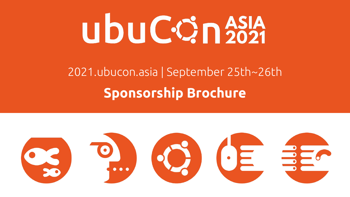# ubuCOn<sup>2021</sup>

## 2021.ubucon.asia | September 25th~26th **Sponsorship Brochure**

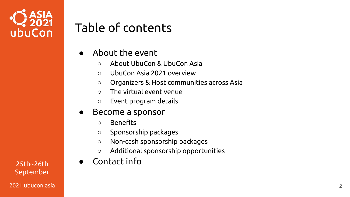

## Table of contents

- About the event
	- About UbuCon & UbuCon Asia
	- UbuCon Asia 2021 overview
	- Organizers & Host communities across Asia
	- $\circ$  The virtual event venue
	- Event program details

#### ● Become a sponsor

- Benefits
- Sponsorship packages
- Non-cash sponsorship packages
- Additional sponsorship opportunities
- 25th~26th Contact info

September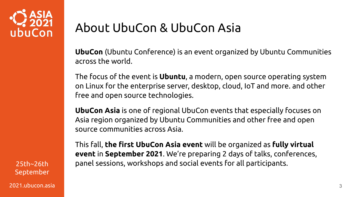

#### About UbuCon & UbuCon Asia

**UbuCon** (Ubuntu Conference) is an event organized by Ubuntu Communities across the world.

The focus of the event is **Ubuntu**, a modern, open source operating system on Linux for the enterprise server, desktop, cloud, IoT and more. and other free and open source technologies.

**UbuCon Asia** is one of regional UbuCon events that especially focuses on Asia region organized by Ubuntu Communities and other free and open source communities across Asia.

September 2021.ubucon.asia 3

This fall, **the first UbuCon Asia event** will be organized as **fully virtual event** in **September 2021**. We're preparing 2 days of talks, conferences, 25th~26th panel sessions, workshops and social events for all participants.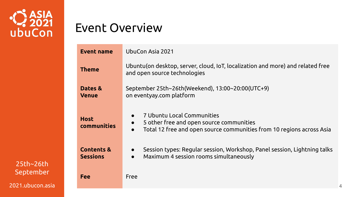

#### Event Overview

| <b>Event name</b>                        | UbuCon Asia 2021                                                                                                                                                                       |  |  |  |
|------------------------------------------|----------------------------------------------------------------------------------------------------------------------------------------------------------------------------------------|--|--|--|
| <b>Theme</b>                             | Ubuntu(on desktop, server, cloud, IoT, localization and more) and related free<br>and open source technologies                                                                         |  |  |  |
| Dates &<br><b>Venue</b>                  | September 25th~26th(Weekend), 13:00~20:00(UTC+9)<br>on eventyay.com platform                                                                                                           |  |  |  |
| <b>Host</b><br>communities               | 7 Ubuntu Local Communities<br>$\bullet$<br>5 other free and open source communities<br>$\bullet$<br>Total 12 free and open source communities from 10 regions across Asia<br>$\bullet$ |  |  |  |
| <b>Contents &amp;</b><br><b>Sessions</b> | Session types: Regular session, Workshop, Panel session, Lightning talks<br>$\bullet$<br>Maximum 4 session rooms simultaneously<br>$\bullet$                                           |  |  |  |
| Fee                                      | Free                                                                                                                                                                                   |  |  |  |

25th~26th September 2021.ubucon.asia

4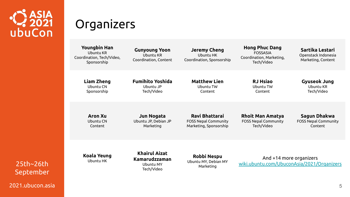

#### **Organizers**

**Youngbin Han** Ubuntu KR Coordination, Tech/Video, Sponsorship **Gunyoung Yoon** Ubuntu KR Coordination, Content **Jeremy Cheng** Ubuntu HK Coordination, Sponsorship **Hong Phuc Dang** FOSSASIA Coordination, Marketing, Tech/Video **Sartika Lestari** Openstack Indonesia Marketing, Content **Liam Zheng** Ubuntu CN Sponsorship **Fumihito Yoshida** Ubuntu JP Tech/Video **Matthew Lien** Ubuntu TW Content **RJ Hsiao** Ubuntu TW Content **Gyuseok Jung** Ubuntu KR Tech/Video **Aron Xu** Ubuntu CN Content **Jun Nogata** Ubuntu JP, Debian JP Marketing **Ravi Bhattarai** FOSS Nepal Community Marketing, Sponsorship **Rhoit Man Amatya** FOSS Nepal Community Tech/Video **Sagun Dhakwa** FOSS Nepal Community Content **Koala Yeung** Ubuntu HK **Khairul Aizat Kamarudzzaman** Ubuntu MY Tech/Video **Robbi Nespu** Ubuntu MY, Debian MY Marketing And +14 more organizers [wiki.ubuntu.com/UbuconAsia/2021/Organizers](https://wiki.ubuntu.com/UbuconAsia/2021/Organizers)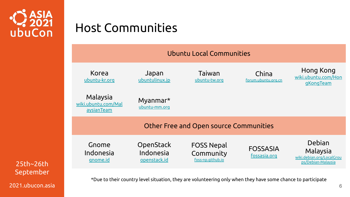

#### Host Communities



25th~26th September 2021.ubucon.asia

\*Due to their country level situation, they are volunteering only when they have some chance to participate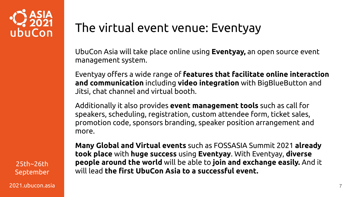

The virtual event venue: Eventyay

UbuCon Asia will take place online using **Eventyay,** an open source event management system.

Eventyay offers a wide range of **features that facilitate online interaction and communication** including **video integration** with BigBlueButton and Jitsi, chat channel and virtual booth.

Additionally it also provides **event management tools** such as call for speakers, scheduling, registration, custom attendee form, ticket sales, promotion code, sponsors branding, speaker position arrangement and more.

25th~26th September 2021.ubucon.asia 7

**Many Global and Virtual events** such as FOSSASIA Summit 2021 **already took place** with **huge success** using **Eventyay**. With Eventyay, **diverse people around the world** will be able to **join and exchange easily.** And it will lead **the first UbuCon Asia to a successful event.**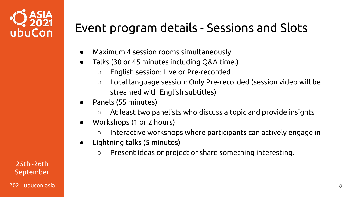

### Event program details - Sessions and Slots

- Maximum 4 session rooms simultaneously
- Talks (30 or 45 minutes including Q&A time.)
	- English session: Live or Pre-recorded
	- Local language session: Only Pre-recorded (session video will be streamed with English subtitles)
- Panels (55 minutes)
	- At least two panelists who discuss a topic and provide insights
- Workshops (1 or 2 hours)
	- Interactive workshops where participants can actively engage in
- Lightning talks (5 minutes)
	- Present ideas or project or share something interesting.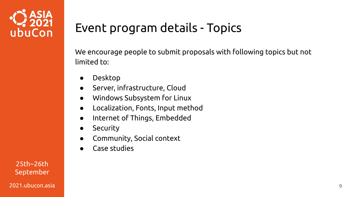

## Event program details - Topics

We encourage people to submit proposals with following topics but not limited to:

- **Desktop**
- Server, infrastructure, Cloud
- Windows Subsystem for Linux
- Localization, Fonts, Input method
- Internet of Things, Embedded
- **•** Security
- Community, Social context
- Case studies

25th~26th September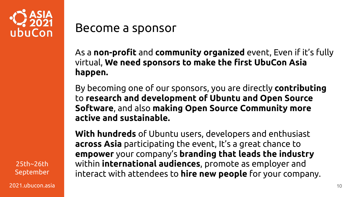

#### Become a sponsor

As a **non-profit** and **community organized** event, Even if it's fully virtual, **We need sponsors to make the first UbuCon Asia happen.**

By becoming one of our sponsors, you are directly **contributing**  to **research and development of Ubuntu and Open Source Software**, and also **making Open Source Community more active and sustainable.**

**With hundreds** of Ubuntu users, developers and enthusiast **across Asia** participating the event, It's a great chance to **empower** your company's **branding that leads the industry** within **international audiences**, promote as employer and interact with attendees to **hire new people** for your company.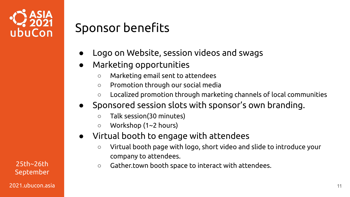

#### Sponsor benefits

- Logo on Website, session videos and swags
- Marketing opportunities
	- Marketing email sent to attendees
	- Promotion through our social media
	- $\circ$  Localized promotion through marketing channels of local communities
- Sponsored session slots with sponsor's own branding.
	- Talk session(30 minutes)
	- Workshop (1~2 hours)
- Virtual booth to engage with attendees
	- Virtual booth page with logo, short video and slide to introduce your company to attendees.
- $25th~26th$   $\circ$  Gather.town booth space to interact with attendees.

September 2021.ubucon.asia 11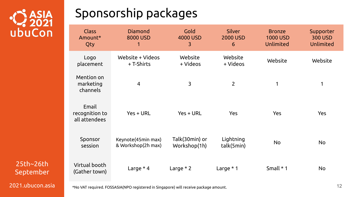

## Sponsorship packages

| <b>Class</b><br>Amount*<br>Qty           | Diamond<br>8000 USD<br>1                 | Gold<br>4000 USD<br>3          | <b>Silver</b><br><b>2000 USD</b><br>6 | <b>Bronze</b><br><b>1000 USD</b><br>Unlimited | Supporter<br><b>300 USD</b><br>Unlimited |
|------------------------------------------|------------------------------------------|--------------------------------|---------------------------------------|-----------------------------------------------|------------------------------------------|
| Logo<br>placement                        | Website + Videos<br>+ T-Shirts           | Website<br>+ Videos            | Website<br>+ Videos                   | Website                                       | Website                                  |
| Mention on<br>marketing<br>channels      | $\overline{4}$                           | 3                              | $\overline{2}$                        | 1                                             | 1                                        |
| Email<br>recognition to<br>all attendees | $Yes + URL$                              | Yes + URL                      | <b>Yes</b>                            | <b>Yes</b>                                    | Yes                                      |
| Sponsor<br>session                       | Keynote(45min max)<br>& Workshop(2h max) | Talk(30min) or<br>Workshop(1h) | Lightning<br>talk(5min)               | No                                            | No                                       |
| Virtual booth<br>(Gather town)           | Large $*$ 4                              | Large $*2$                     | Large $*1$                            | Small $*$ 1                                   | No                                       |

September 2021.ubucon.asia

25th~26th

\*No VAT required. FOSSASIA(NPO registered in Singapore) will receive package amount. 12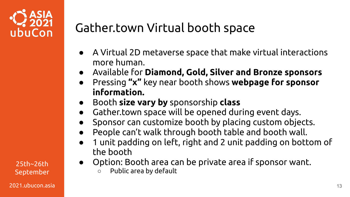

- A Virtual 2D metaverse space that make virtual interactions more human.
- Available for **Diamond, Gold, Silver and Bronze sponsors**
- Pressing **"x"** key near booth shows **webpage for sponsor information.**
- Booth **size vary by** sponsorship **class**
- Gather.town space will be opened during event days.
- Sponsor can customize booth by placing custom objects.
- People can't walk through booth table and booth wall.
- 1 unit padding on left, right and 2 unit padding on bottom of the booth
- Option: Booth area can be private area if sponsor want. ○ Public area by default

25th~26th September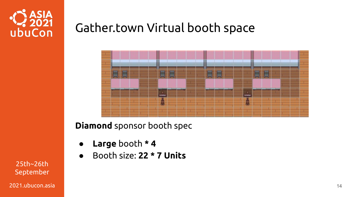



**Diamond** sponsor booth spec

- **Large** booth **\* 4**
- Booth size: **22 \* 7 Units**

25th~26th September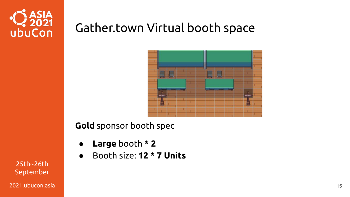



#### **Gold** sponsor booth spec

- **Large** booth **\* 2**
- Booth size: **12 \* 7 Units**

25th~26th September

2021.ubucon.asia 15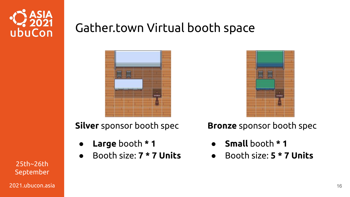





**Silver** sponsor booth spec

- **Large** booth **\* 1**
- Booth size: **7 \* 7 Units**

**Bronze** sponsor booth spec

- **Small** booth **\* 1**
- Booth size: **5 \* 7 Units**

25th~26th September

2021.ubucon.asia 16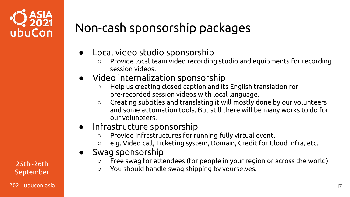

## Non-cash sponsorship packages

- Local video studio sponsorship
	- Provide local team video recording studio and equipments for recording session videos.
- Video internalization sponsorship
	- Help us creating closed caption and its English translation for pre-recorded session videos with local language.
	- Creating subtitles and translating it will mostly done by our volunteers and some automation tools. But still there will be many works to do for our volunteers.
- Infrastructure sponsorship
	- Provide infrastructures for running fully virtual event.
	- e.g. Video call, Ticketing system, Domain, Credit for Cloud infra, etc.
- Swag sponsorship
	- Free swag for attendees (for people in your region or across the world)
- 25th~26th and a complete swag for accendees (for people in your regional control of the Swag shipping by yourselves.

September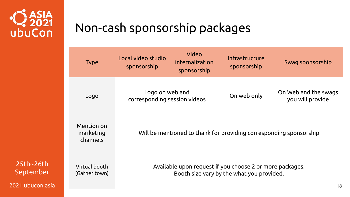

## Non-cash sponsorship packages

| <b>Type</b>                         | Local video studio<br>sponsorship                                                                                       | Video<br>internalization<br>sponsorship         | Infrastructure<br>sponsorship | Swag sponsorship                         |  |  |
|-------------------------------------|-------------------------------------------------------------------------------------------------------------------------|-------------------------------------------------|-------------------------------|------------------------------------------|--|--|
| Logo                                |                                                                                                                         | Logo on web and<br>corresponding session videos |                               | On Web and the swags<br>you will provide |  |  |
| Mention on<br>marketing<br>channels | Will be mentioned to thank for providing corresponding sponsorship                                                      |                                                 |                               |                                          |  |  |
| Virtual booth<br>(Gather town)      | Available upon request if you choose 2 or more packages.<br>Booth size vary by the what you provided.<br>1 <sup>5</sup> |                                                 |                               |                                          |  |  |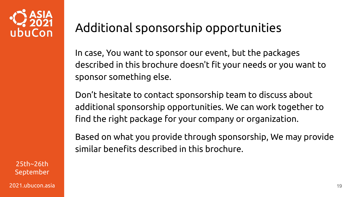

#### Additional sponsorship opportunities

In case, You want to sponsor our event, but the packages described in this brochure doesn't fit your needs or you want to sponsor something else.

Don't hesitate to contact sponsorship team to discuss about additional sponsorship opportunities. We can work together to find the right package for your company or organization.

Based on what you provide through sponsorship, We may provide similar benefits described in this brochure.